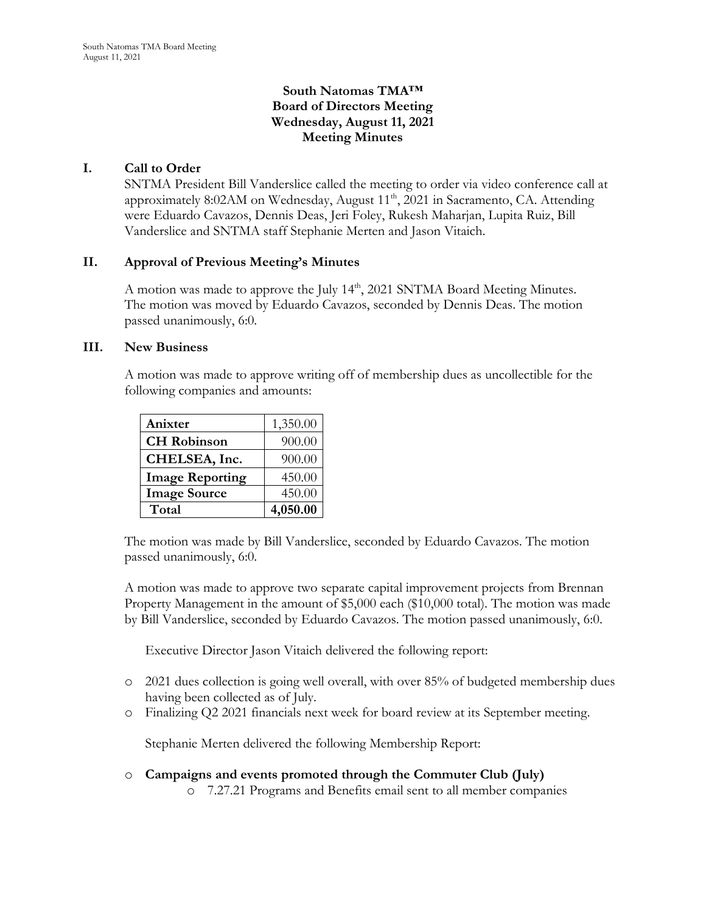# **South Natomas TMA™ Board of Directors Meeting Wednesday, August 11, 2021 Meeting Minutes**

# **I. Call to Order**

SNTMA President Bill Vanderslice called the meeting to order via video conference call at approximately 8:02AM on Wednesday, August 11<sup>th</sup>, 2021 in Sacramento, CA. Attending were Eduardo Cavazos, Dennis Deas, Jeri Foley, Rukesh Maharjan, Lupita Ruiz, Bill Vanderslice and SNTMA staff Stephanie Merten and Jason Vitaich.

## **II. Approval of Previous Meeting's Minutes**

A motion was made to approve the July 14<sup>th</sup>, 2021 SNTMA Board Meeting Minutes. The motion was moved by Eduardo Cavazos, seconded by Dennis Deas. The motion passed unanimously, 6:0.

#### **III. New Business**

A motion was made to approve writing off of membership dues as uncollectible for the following companies and amounts:

| Anixter                | 1,350.00 |
|------------------------|----------|
| <b>CH</b> Robinson     | 900.00   |
| CHELSEA, Inc.          | 900.00   |
| <b>Image Reporting</b> | 450.00   |
| <b>Image Source</b>    | 450.00   |
| Total                  | 4,050.00 |

The motion was made by Bill Vanderslice, seconded by Eduardo Cavazos. The motion passed unanimously, 6:0.

A motion was made to approve two separate capital improvement projects from Brennan Property Management in the amount of \$5,000 each (\$10,000 total). The motion was made by Bill Vanderslice, seconded by Eduardo Cavazos. The motion passed unanimously, 6:0.

Executive Director Jason Vitaich delivered the following report:

- o 2021 dues collection is going well overall, with over 85% of budgeted membership dues having been collected as of July.
- o Finalizing Q2 2021 financials next week for board review at its September meeting.

Stephanie Merten delivered the following Membership Report:

- o **Campaigns and events promoted through the Commuter Club (July)**
	- o 7.27.21 Programs and Benefits email sent to all member companies